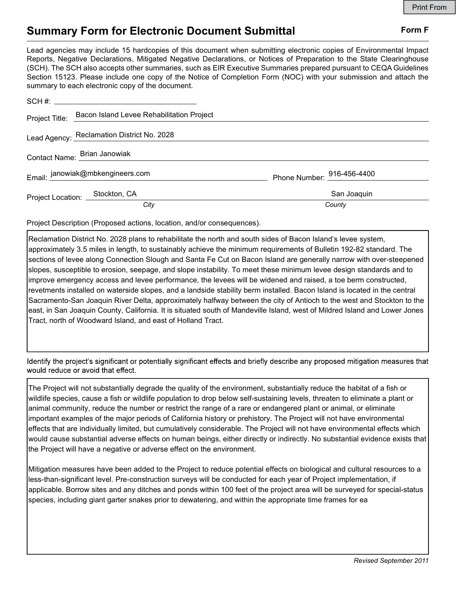## Summary Form for Electronic Document Submittal Form F

Lead agencies may include 15 hardcopies of this document when submitting electronic copies of Environmental Impact Reports, Negative Declarations, Mitigated Negative Declarations, or Notices of Preparation to the State Clearinghouse (SCH). The SCH also accepts other summaries, such as EIR Executive Summaries prepared pursuant to CEQA Guidelines Section 15123. Please include one copy of the Notice of Completion Form (NOC) with your submission and attach the summary to each electronic copy of the document.

|                                  | Project Title: Bacon Island Levee Rehabilitation Project |                            |
|----------------------------------|----------------------------------------------------------|----------------------------|
|                                  | Lead Agency: Reclamation District No. 2028               |                            |
|                                  | Contact Name: Brian Janowiak                             |                            |
| Email: janowiak@mbkengineers.com |                                                          | Phone Number: 916-456-4400 |
| Project Location: Stockton, CA   |                                                          | San Joaquin                |
|                                  | City                                                     | County                     |

Project Description (Proposed actions, location, and/or consequences).

Reclamation District No. 2028 plans to rehabilitate the north and south sides of Bacon Island's levee system, approximately 3.5 miles in length, to sustainably achieve the minimum requirements of Bulletin 192-82 standard. The sections of levee along Connection Slough and Santa Fe Cut on Bacon Island are generally narrow with over-steepened slopes, susceptible to erosion, seepage, and slope instability. To meet these minimum levee design standards and to improve emergency access and levee performance, the levees will be widened and raised, a toe berm constructed, revetments installed on waterside slopes, and a landside stability berm installed. Bacon Island is located in the central Sacramento-San Joaquin River Delta, approximately halfway between the city of Antioch to the west and Stockton to the east, in San Joaquin County, California. It is situated south of Mandeville Island, west of Mildred Island and Lower Jones Tract, north of Woodward Island, and east of Holland Tract.

Identify the project's significant or potentially significant effects and briefly describe any proposed mitigation measures that would reduce or avoid that effect.

The Project will not substantially degrade the quality of the environment, substantially reduce the habitat of a fish or wildlife species, cause a fish or wildlife population to drop below self-sustaining levels, threaten to eliminate a plant or animal community, reduce the number or restrict the range of a rare or endangered plant or animal, or eliminate important examples of the major periods of California history or prehistory. The Project will not have environmental effects that are individually limited, but cumulatively considerable. The Project will not have environmental effects which would cause substantial adverse effects on human beings, either directly or indirectly. No substantial evidence exists that the Project will have a negative or adverse effect on the environment.

Mitigation measures have been added to the Project to reduce potential effects on biological and cultural resources to a less-than-significant level. Pre-construction surveys will be conducted for each year of Project implementation, if applicable. Borrow sites and any ditches and ponds within 100 feet of the project area will be surveyed for special-status species, including giant garter snakes prior to dewatering, and within the appropriate time frames for ea